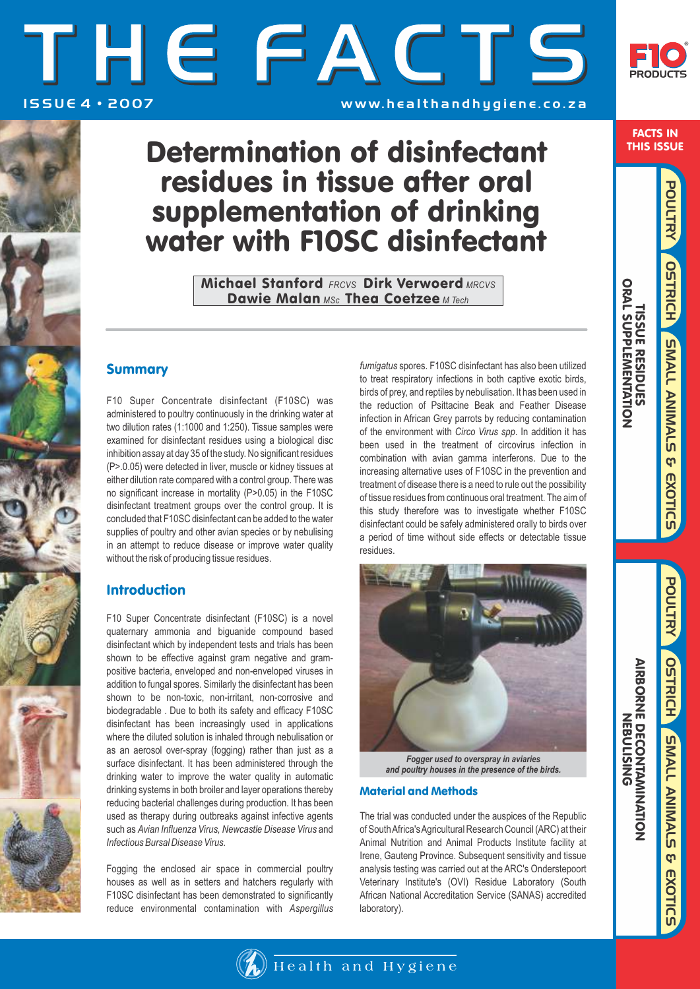# THE FACTS ISSUE 4 · 2007 **WWW. healthandhygiene.co.za**



FACTS IN THIS ISSUE

 TISSUE RESIDUES ORAL SUPPLEMENTATION

**TISSUE RESURENTATION**<br>ORAL SUPPLEMENTATION

POULTRY SMALL ANIMALS & EXOTIC

**OSTRICH** 

POULTRY

**OSTRICH SMALL ANIMALS & EXOTICS** 

SMALL ANIMALS & EXOTICS

## Determination of disinfectant residues in tissue after oral supplementation of drinking water with F10SC disinfectant

Michael Stanford *FRCVS* Dirk Verwoerd *MRCVS*  Dawie Malan *MSc* Thea Coetzee *M Tech*

### Summary

F10 Super Concentrate disinfectant (F10SC) was administered to poultry continuously in the drinking water at two dilution rates (1:1000 and 1:250). Tissue samples were examined for disinfectant residues using a biological disc inhibition assay at day 35 of the study. No significant residues (P>.0.05) were detected in liver, muscle or kidney tissues at either dilution rate compared with a control group. There was no significant increase in mortality (P>0.05) in the F10SC disinfectant treatment groups over the control group. It is concluded that F10SC disinfectant can be added to the water supplies of poultry and other avian species or by nebulising in an attempt to reduce disease or improve water quality without the risk of producing tissue residues.

## Introduction

F10 Super Concentrate disinfectant (F10SC) is a novel quaternary ammonia and biguanide compound based disinfectant which by independent tests and trials has been shown to be effective against gram negative and grampositive bacteria, enveloped and non-enveloped viruses in addition to fungal spores. Similarly the disinfectant has been shown to be non-toxic, non-irritant, non-corrosive and biodegradable . Due to both its safety and efficacy F10SC disinfectant has been increasingly used in applications where the diluted solution is inhaled through nebulisation or as an aerosol over-spray (fogging) rather than just as a surface disinfectant. It has been administered through the drinking water to improve the water quality in automatic drinking systems in both broiler and layer operations thereby reducing bacterial challenges during production. It has been used as therapy during outbreaks against infective agents such as *Avian Influenza Virus, Newcastle Disease Virus* and *Infectious Bursal Disease Virus.* 

Fogging the enclosed air space in commercial poultry houses as well as in setters and hatchers regularly with F10SC disinfectant has been demonstrated to significantly reduce environmental contamination with *Aspergillus* *fumigatus* spores. F10SC disinfectant has also been utilized to treat respiratory infections in both captive exotic birds, birds of prey, and reptiles by nebulisation. It has been used in the reduction of Psittacine Beak and Feather Disease infection in African Grey parrots by reducing contamination of the environment with *Circo Virus spp*. In addition it has been used in the treatment of circovirus infection in combination with avian gamma interferons. Due to the increasing alternative uses of F10SC in the prevention and treatment of disease there is a need to rule out the possibility of tissue residues from continuous oral treatment. The aim of this study therefore was to investigate whether F10SC disinfectant could be safely administered orally to birds over a period of time without side effects or detectable tissue residues.



*Fogger used to overspray in aviaries and poultry houses in the presence of the birds.* 

#### Material and Methods

The trial was conducted under the auspices of the Republic of South Africa's Agricultural Research Council (ARC) at their Animal Nutrition and Animal Products Institute facility at Irene, Gauteng Province. Subsequent sensitivity and tissue analysis testing was carried out at the ARC's Onderstepoort Veterinary Institute's (OVI) Residue Laboratory (South African National Accreditation Service (SANAS) accredited laboratory).

AIRBORNE DECONT

NEBULISING

**AIRBORNE DECONTAMINATION** 

AMINATION

ທ

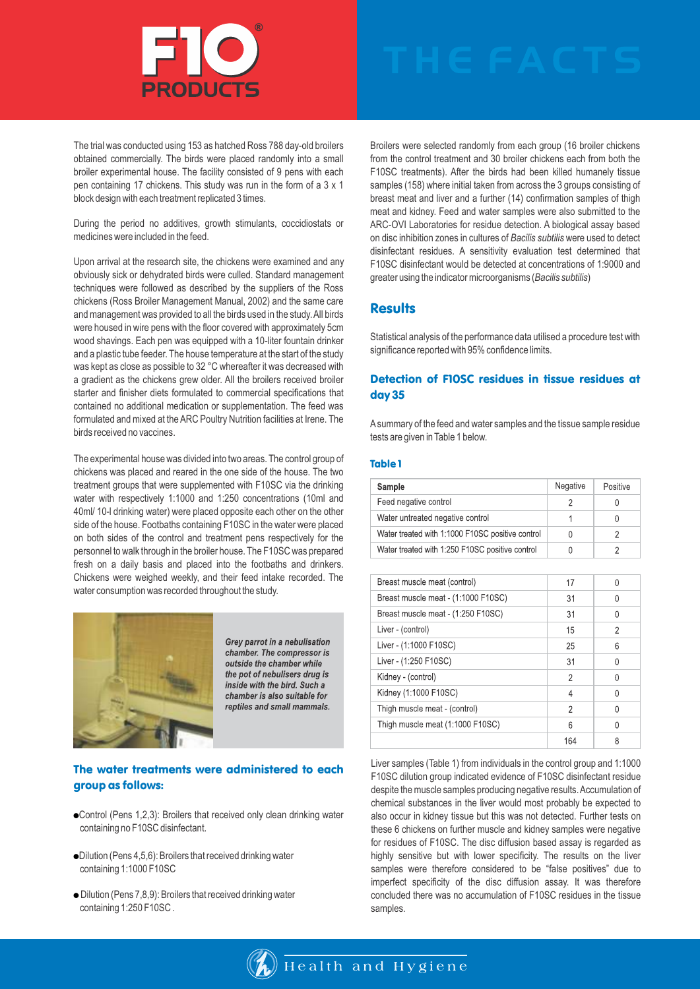

The trial was conducted using 153 as hatched Ross 788 day-old broilers obtained commercially. The birds were placed randomly into a small broiler experimental house. The facility consisted of 9 pens with each pen containing 17 chickens. This study was run in the form of a 3 x 1 block design with each treatment replicated 3 times.

During the period no additives, growth stimulants, coccidiostats or medicines were included in the feed.

Upon arrival at the research site, the chickens were examined and any obviously sick or dehydrated birds were culled. Standard management techniques were followed as described by the suppliers of the Ross chickens (Ross Broiler Management Manual, 2002) and the same care and management was provided to all the birds used in the study. All birds were housed in wire pens with the floor covered with approximately 5cm wood shavings. Each pen was equipped with a 10-liter fountain drinker and a plastic tube feeder. The house temperature at the start of the study was kept as close as possible to 32 °C whereafter it was decreased with a gradient as the chickens grew older. All the broilers received broiler starter and finisher diets formulated to commercial specifications that contained no additional medication or supplementation. The feed was formulated and mixed at the ARC Poultry Nutrition facilities at Irene. The birds received no vaccines.

The experimental house was divided into two areas. The control group of chickens was placed and reared in the one side of the house. The two treatment groups that were supplemented with F10SC via the drinking water with respectively 1:1000 and 1:250 concentrations (10ml and 40ml/ 10-l drinking water) were placed opposite each other on the other side of the house. Footbaths containing F10SC in the water were placed on both sides of the control and treatment pens respectively for the personnel to walk through in the broiler house. The F10SC was prepared fresh on a daily basis and placed into the footbaths and drinkers. Chickens were weighed weekly, and their feed intake recorded. The water consumption was recorded throughout the study.



Grey parrot in a nebulisation chamber. The compressor is outside the chamber while the pot of nebulisers drug is inside with the bird. Such a chamber is also suitable for reptiles and small mammals.

#### The water treatments were administered to each group as follows:

- Control (Pens 1,2,3): Broilers that received only clean drinking water containing no F10SC disinfectant.
- Dilution (Pens 4,5,6): Broilers that received drinking water containing 1:1000 F10SC
- Dilution (Pens 7,8,9): Broilers that received drinking water containing 1:250 F10SC .

Broilers were selected randomly from each group (16 broiler chickens from the control treatment and 30 broiler chickens each from both the F10SC treatments). After the birds had been killed humanely tissue samples (158) where initial taken from across the 3 groups consisting of breast meat and liver and a further (14) confirmation samples of thigh meat and kidney. Feed and water samples were also submitted to the ARC-OVI Laboratories for residue detection. A biological assay based on disc inhibition zones in cultures of *Bacilis subtilis* were used to detect disinfectant residues. A sensitivity evaluation test determined that F10SC disinfectant would be detected at concentrations of 1:9000 and greater using the indicator microorganisms (*Bacilis subtilis*)

#### **Results**

Statistical analysis of the performance data utilised a procedure test with significance reported with 95% confidence limits.

#### Detection of F10SC residues in tissue residues at day 35

Asummary of the feed and water samples and the tissue sample residue tests are given in Table 1 below.

#### Table 1

| Sample                                           | Negative | Positive |
|--------------------------------------------------|----------|----------|
| Feed negative control                            |          | $\cup$   |
| Water untreated negative control                 |          | 0        |
| Water treated with 1:1000 F10SC positive control |          |          |
| Water treated with 1:250 F10SC positive control  |          |          |

| Breast muscle meat (control)        | 17  | U |
|-------------------------------------|-----|---|
| Breast muscle meat - (1:1000 F10SC) | 31  | U |
| Breast muscle meat - (1:250 F10SC)  | 31  | U |
| Liver - (control)                   | 15  | 2 |
| Liver - (1:1000 F10SC)              | 25  | 6 |
| Liver - (1:250 F10SC)               | 31  | U |
| Kidney - (control)                  | 2   | U |
| Kidney (1:1000 F10SC)               | 4   | U |
| Thigh muscle meat - (control)       | 2   | U |
| Thigh muscle meat (1:1000 F10SC)    | 6   | Λ |
|                                     | 164 | 8 |

Liver samples (Table 1) from individuals in the control group and 1:1000 F10SC dilution group indicated evidence of F10SC disinfectant residue despite the muscle samples producing negative results. Accumulation of chemical substances in the liver would most probably be expected to also occur in kidney tissue but this was not detected. Further tests on these 6 chickens on further muscle and kidney samples were negative for residues of F10SC. The disc diffusion based assay is regarded as highly sensitive but with lower specificity. The results on the liver samples were therefore considered to be "false positives" due to imperfect specificity of the disc diffusion assay. It was therefore concluded there was no accumulation of F10SC residues in the tissue samples.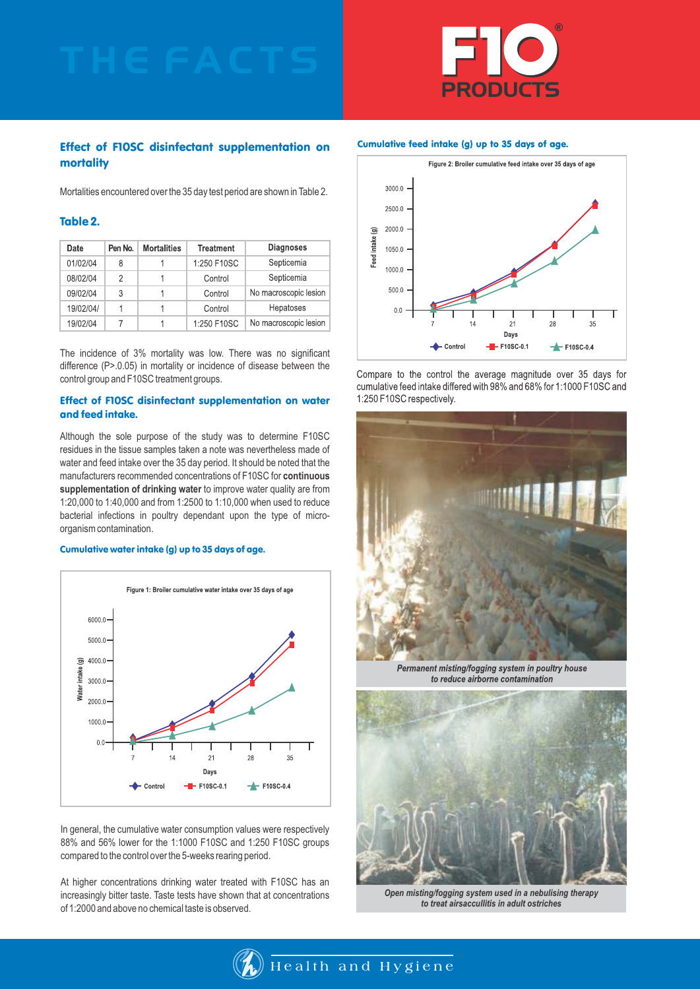

#### Effect of F10SC disinfectant supplementation on mortality

Mortalities encountered over the 35 day test period are shown in Table 2.

#### Table 2.

| Date      | Pen No. | <b>Mortalities</b> | <b>Treatment</b> | <b>Diagnoses</b>      |
|-----------|---------|--------------------|------------------|-----------------------|
| 01/02/04  | 8       |                    | 1:250 F10SC      | Septicemia            |
| 08/02/04  | 2       |                    | Control          | Septicemia            |
| 09/02/04  | 3       |                    | Control          | No macroscopic lesion |
| 19/02/04/ |         |                    | Control          | Hepatoses             |
| 19/02/04  |         |                    | 1:250 F10SC      | No macroscopic lesion |

The incidence of 3% mortality was low. There was no significant difference (P>.0.05) in mortality or incidence of disease between the control group and F10SC treatment groups.

#### Effect of F10SC disinfectant supplementation on water and feed intake.

Although the sole purpose of the study was to determine F10SC residues in the tissue samples taken a note was nevertheless made of water and feed intake over the 35 day period. It should be noted that the manufacturers recommended concentrations of F10SC for **continuous supplementation of drinking water** to improve water quality are from 1:20,000 to 1:40,000 and from 1:2500 to 1:10,000 when used to reduce bacterial infections in poultry dependant upon the type of microorganism contamination.

#### Cumulative water intake (g) up to 35 days of age.



In general, the cumulative water consumption values were respectively 88% and 56% lower for the 1:1000 F10SC and 1:250 F10SC groups compared to the control over the 5-weeks rearing period.

At higher concentrations drinking water treated with F10SC has an increasingly bitter taste. Taste tests have shown that at concentrations of 1:2000 and above no chemical taste is observed.



Compare to the control the average magnitude over 35 days for cumulative feed intake differed with 98% and 68% for 1:1000 F10SC and 1:250 F10SC respectively.



Permanent misting/fogging system in poultry house to reduce airborne contamination



*Open misting/fogging system used in a nebulising therapy to treat airsaccullitis in adult ostriches*